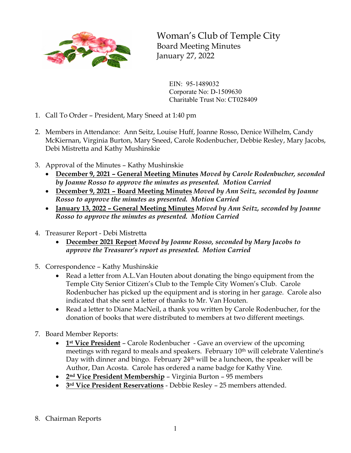

Woman's Club of Temple City Board Meeting Minutes January 27, 2022

EIN: 95-1489032 Corporate No: D-1509630 Charitable Trust No: CT028409

- 1. Call To Order President, Mary Sneed at 1:40 pm
- 2. Members in Attendance: Ann Seitz, Louise Huff, Joanne Rosso, Denice Wilhelm, Candy McKiernan, Virginia Burton, Mary Sneed, Carole Rodenbucher, Debbie Resley, Mary Jacobs, Debi Mistretta and Kathy Mushinskie
- 3. Approval of the Minutes Kathy Mushinskie
	- **December 9, 2021 – General Meeting Minutes** *Moved by Carole Rodenbucher, seconded by Joanne Rosso to approve the minutes as presented. Motion Carried*
	- **December 9, 2021 – Board Meeting Minutes** *Moved by Ann Seitz, seconded by Joanne Rosso to approve the minutes as presented. Motion Carried*
	- **January 13, 2022 – General Meeting Minutes** *Moved by Ann Seitz, seconded by Joanne Rosso to approve the minutes as presented. Motion Carried*
- 4. Treasurer Report Debi Mistretta
	- **December 2021 Report** *Moved by Joanne Rosso, seconded by Mary Jacobs to approve the Treasurer's report as presented. Motion Carried*
- 5. Correspondence Kathy Mushinskie
	- Read a letter from A.L.Van Houten about donating the bingo equipment from the Temple City Senior Citizen's Club to the Temple City Women's Club. Carole Rodenbucher has picked up the equipment and is storing in her garage. Carole also indicated that she sent a letter of thanks to Mr. Van Houten.
	- Read a letter to Diane MacNeil, a thank you written by Carole Rodenbucher, for the donation of books that were distributed to members at two different meetings.
- 7. Board Member Reports:
	- **1st Vice President** Carole Rodenbucher Gave an overview of the upcoming meetings with regard to meals and speakers. February 10th will celebrate Valentine's Day with dinner and bingo. February 24<sup>th</sup> will be a luncheon, the speaker will be Author, Dan Acosta. Carole has ordered a name badge for Kathy Vine.
	- **2nd Vice President Membership** Virginia Burton 95 members
	- **3rd Vice President Reservations** Debbie Resley 25 members attended.
- 8. Chairman Reports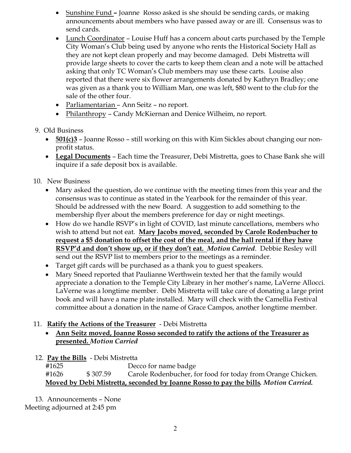- Sunshine Fund *–* Joanne Rosso asked is she should be sending cards, or making announcements about members who have passed away or are ill. Consensus was to send cards.
- Lunch Coordinator Louise Huff has a concern about carts purchased by the Temple City Woman's Club being used by anyone who rents the Historical Society Hall as they are not kept clean properly and may become damaged. Debi Mistretta will provide large sheets to cover the carts to keep them clean and a note will be attached asking that only TC Woman's Club members may use these carts. Louise also reported that there were six flower arrangements donated by Kathryn Bradley; one was given as a thank you to William Man, one was left, \$80 went to the club for the sale of the other four.
- Parliamentarian Ann Seitz no report.
- Philanthropy Candy McKiernan and Denice Wilheim, no report.
- 9. Old Business
	- **501(c)3** Joanne Rosso still working on this with Kim Sickles about changing our nonprofit status.
	- **Legal Documents** Each time the Treasurer, Debi Mistretta, goes to Chase Bank she will inquire if a safe deposit box is available.
- 10. New Business
	- Mary asked the question, do we continue with the meeting times from this year and the consensus was to continue as stated in the Yearbook for the remainder of this year. Should be addressed with the new Board. A suggestion to add something to the membership flyer about the members preference for day or night meetings.
	- How do we handle RSVP's in light of COVID, last minute cancellations, members who wish to attend but not eat. **Mary Jacobs moved, seconded by Carole Rodenbucher to request a \$5 donation to offset the cost of the meal, and the hall rental if they have RSVP'd and don't show up, or if they don't eat.** *Motion Carried*. Debbie Resley will send out the RSVP list to members prior to the meetings as a reminder.
	- Target gift cards will be purchased as a thank you to guest speakers.
	- Mary Sneed reported that Paulianne Werthwein texted her that the family would appreciate a donation to the Temple City Library in her mother's name, LaVerne Allocci. LaVerne was a longtime member. Debi Mistretta will take care of donating a large print book and will have a name plate installed. Mary will check with the Camellia Festival committee about a donation in the name of Grace Campos, another longtime member.

## 11. **Ratify the Actions of the Treasurer** - Debi Mistretta

- **Ann Seitz moved, Joanne Rosso seconded to ratify the actions of the Treasurer as presented.** *Motion Carried*
- 12. **Pay the Bills** Debi Mistretta

#1625 Decco for name badge #1626 \$ 307.59 Carole Rodenbucher, for food for today from Orange Chicken. **Moved by Debi Mistretta, seconded by Joanne Rosso to pay the bills***. Motion Carried.*

13. Announcements – None Meeting adjourned at 2:45 pm